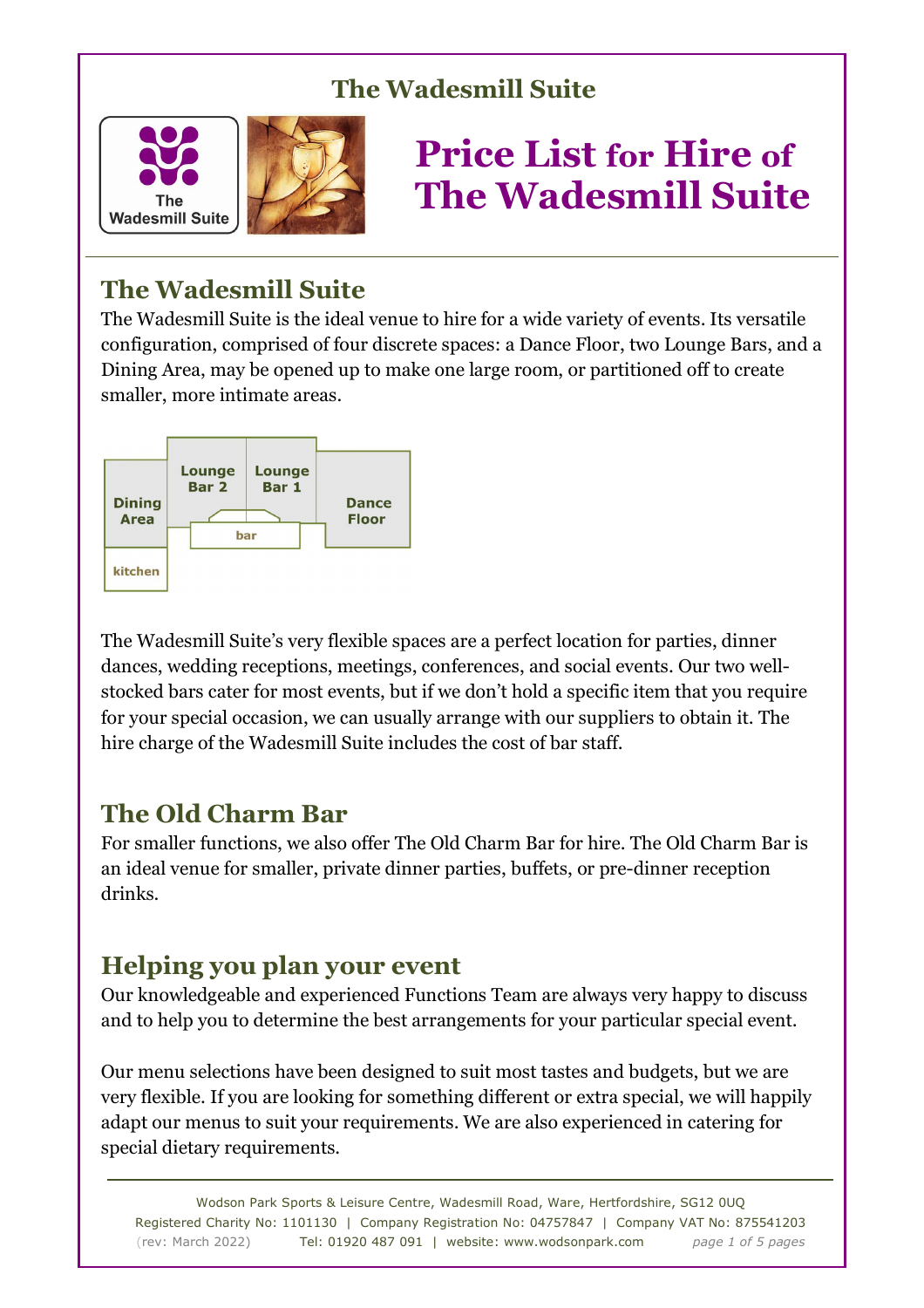

# **Price List for Hire of The Wadesmill Suite**

# **The Wadesmill Suite**

The Wadesmill Suite is the ideal venue to hire for a wide variety of events. Its versatile configuration, comprised of four discrete spaces: a Dance Floor, two Lounge Bars, and a Dining Area, may be opened up to make one large room, or partitioned off to create smaller, more intimate areas.



The Wadesmill Suite's very flexible spaces are a perfect location for parties, dinner dances, wedding receptions, meetings, conferences, and social events. Our two wellstocked bars cater for most events, but if we don't hold a specific item that you require for your special occasion, we can usually arrange with our suppliers to obtain it. The hire charge of the Wadesmill Suite includes the cost of bar staff.

# **The Old Charm Bar**

For smaller functions, we also offer The Old Charm Bar for hire. The Old Charm Bar is an ideal venue for smaller, private dinner parties, buffets, or pre-dinner reception drinks.

# **Helping you plan your event**

Our knowledgeable and experienced Functions Team are always very happy to discuss and to help you to determine the best arrangements for your particular special event.

Our menu selections have been designed to suit most tastes and budgets, but we are very flexible. If you are looking for something different or extra special, we will happily adapt our menus to suit your requirements. We are also experienced in catering for special dietary requirements.

Wodson Park Sports & Leisure Centre, Wadesmill Road, Ware, Hertfordshire, SG12 0UQ Registered Charity No: 1101130 | Company Registration No: 04757847 | Company VAT No: 875541203 (rev: March 2022) Tel: 01920 487 091 | website: www.wodsonpark.com *page 1 of 5 pages*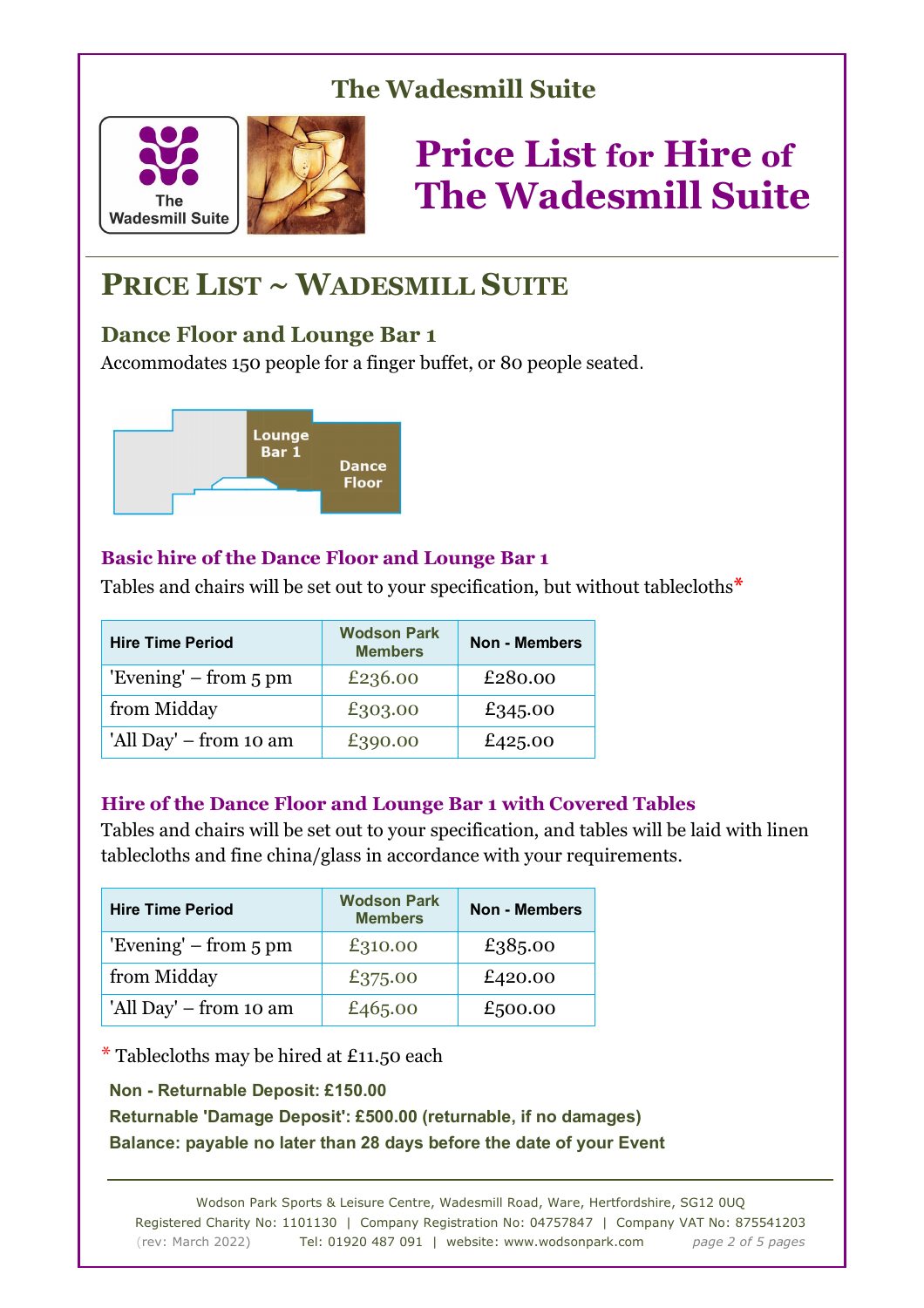



# **PRICE LIST ~ WADESMILL SUITE**

### **Dance Floor and Lounge Bar 1**

Accommodates 150 people for a finger buffet, or 80 people seated.



### **Basic hire of the Dance Floor and Lounge Bar 1**

Tables and chairs will be set out to your specification, but without tablecloths**\***

| <b>Hire Time Period</b>           | <b>Wodson Park</b><br><b>Members</b> | <b>Non - Members</b> |  |
|-----------------------------------|--------------------------------------|----------------------|--|
| 'Evening' $-$ from $5 \text{ pm}$ | £236.00                              | £280.00              |  |
| from Midday                       | £303.00                              | £345.00              |  |
| 'All Day' – from 10 am            | £390.00                              | £425.00              |  |

#### **Hire of the Dance Floor and Lounge Bar 1 with Covered Tables**

Tables and chairs will be set out to your specification, and tables will be laid with linen tablecloths and fine china/glass in accordance with your requirements.

| <b>Hire Time Period</b>           | <b>Wodson Park</b><br><b>Members</b> | <b>Non - Members</b> |  |
|-----------------------------------|--------------------------------------|----------------------|--|
| 'Evening' $-$ from $5 \text{ pm}$ | £310.00                              | £385.00              |  |
| from Midday                       | £375.00                              | £420.00              |  |
| 'All Day' – from 10 am            | £465.00                              | £500.00              |  |

 $*$  Tablecloths may be hired at £11.50 each

#### **Non - Returnable Deposit: £150.00**

**Returnable 'Damage Deposit': £500.00 (returnable, if no damages) Balance: payable no later than 28 days before the date of your Event** 

Wodson Park Sports & Leisure Centre, Wadesmill Road, Ware, Hertfordshire, SG12 0UQ Registered Charity No: 1101130 | Company Registration No: 04757847 | Company VAT No: 875541203 (rev: March 2022) Tel: 01920 487 091 | website: www.wodsonpark.com *page 2 of 5 pages*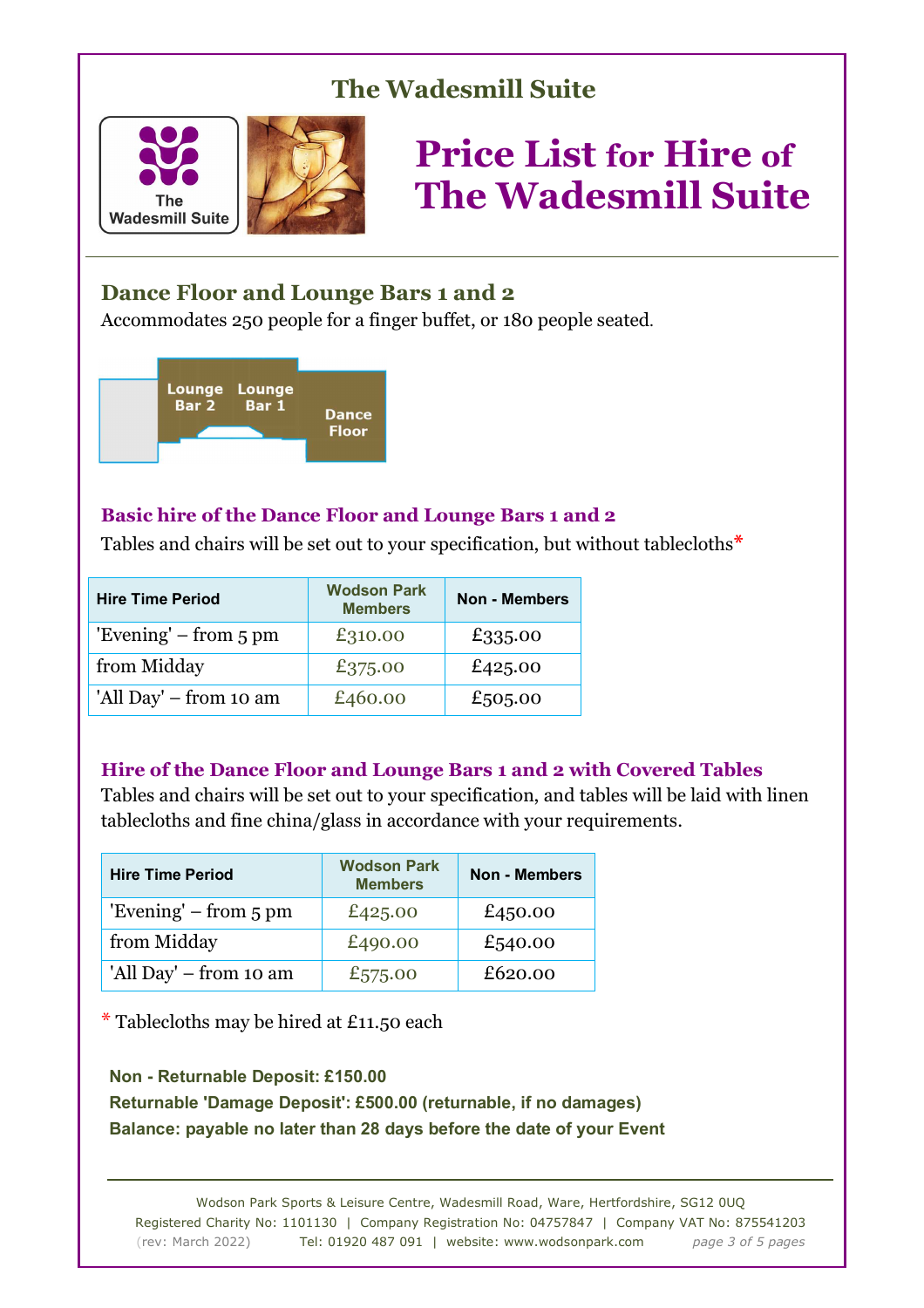



### **Dance Floor and Lounge Bars 1 and 2**

Accommodates 250 people for a finger buffet, or 180 people seated.



#### **Basic hire of the Dance Floor and Lounge Bars 1 and 2**

Tables and chairs will be set out to your specification, but without tablecloths**\***

| <b>Hire Time Period</b>           | <b>Wodson Park</b><br><b>Members</b> | <b>Non - Members</b> |  |
|-----------------------------------|--------------------------------------|----------------------|--|
| 'Evening' $-$ from $5 \text{ pm}$ | £310.00                              | £335.00              |  |
| from Midday                       | £375.00                              | £425.00              |  |
| 'All Day' – from 10 am            | £460.00                              | £505.00              |  |

#### **Hire of the Dance Floor and Lounge Bars 1 and 2 with Covered Tables**

Tables and chairs will be set out to your specification, and tables will be laid with linen tablecloths and fine china/glass in accordance with your requirements.

| <b>Hire Time Period</b>           | <b>Wodson Park</b><br><b>Members</b> | <b>Non - Members</b> |  |
|-----------------------------------|--------------------------------------|----------------------|--|
| 'Evening' $-$ from $5 \text{ pm}$ | £425.00                              | £450.00              |  |
| from Midday                       | £490.00                              | £540.00              |  |
| 'All Day' – from 10 am            | £575.00                              | £620.00              |  |

 $*$  Tablecloths may be hired at £11.50 each

**Non - Returnable Deposit: £150.00 Returnable 'Damage Deposit': £500.00 (returnable, if no damages) Balance: payable no later than 28 days before the date of your Event** 

Wodson Park Sports & Leisure Centre, Wadesmill Road, Ware, Hertfordshire, SG12 0UQ Registered Charity No: 1101130 | Company Registration No: 04757847 | Company VAT No: 875541203 (rev: March 2022) Tel: 01920 487 091 | website: www.wodsonpark.com *page 3 of 5 pages*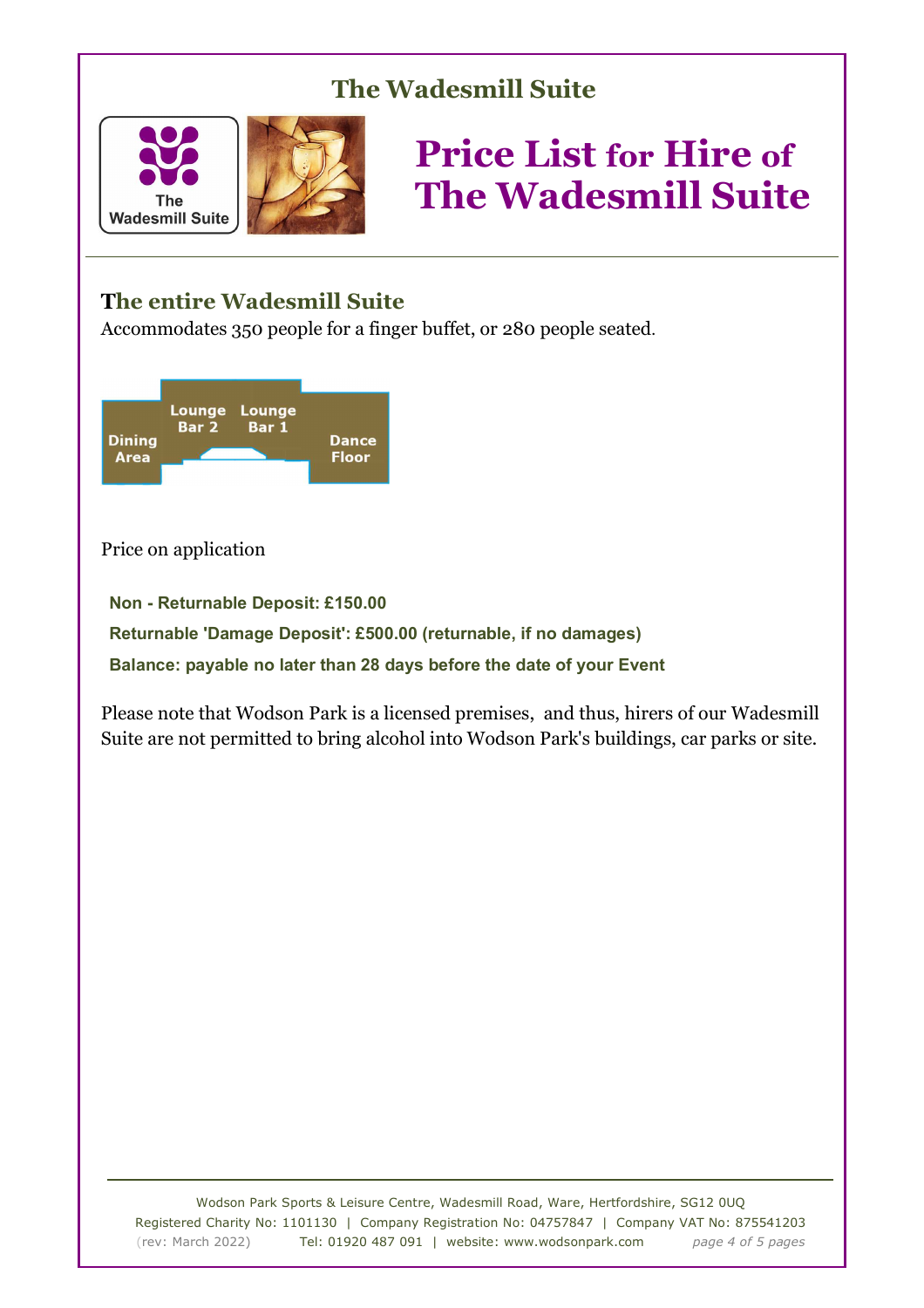



### **The entire Wadesmill Suite**

Accommodates 350 people for a finger buffet, or 280 people seated.



Price on application

**Non - Returnable Deposit: £150.00 Returnable 'Damage Deposit': £500.00 (returnable, if no damages) Balance: payable no later than 28 days before the date of your Event** 

Please note that Wodson Park is a licensed premises, and thus, hirers of our Wadesmill Suite are not permitted to bring alcohol into Wodson Park's buildings, car parks or site.

Wodson Park Sports & Leisure Centre, Wadesmill Road, Ware, Hertfordshire, SG12 0UQ Registered Charity No: 1101130 | Company Registration No: 04757847 | Company VAT No: 875541203 (rev: March 2022) Tel: 01920 487 091 | website: www.wodsonpark.com *page 4 of 5 pages*